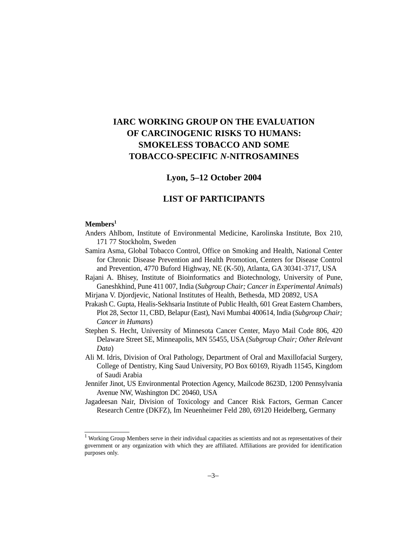# **IARC WORKING GROUP ON THE EVALUATION OF CARCINOGENIC RISKS TO HUMANS: SMOKELESS TOBACCO AND SOME TOBACCO-SPECIFIC** *N***-NITROSAMINES**

# **Lyon, 5–12 October 2004**

# **LIST OF PARTICIPANTS**

#### **Members1**

- Anders Ahlbom, Institute of Environmental Medicine, Karolinska Institute, Box 210, 171 77 Stockholm, Sweden
- Samira Asma, Global Tobacco Control, Office on Smoking and Health, National Center for Chronic Disease Prevention and Health Promotion, Centers for Disease Control and Prevention, 4770 Buford Highway, NE (K-50), Atlanta, GA 30341-3717, USA
- Rajani A. Bhisey, Institute of Bioinformatics and Biotechnology, University of Pune, Ganeshkhind, Pune 411 007, India (*Subgroup Chair; Cancer in Experimental Animals*)

Mirjana V. Djordjevic, National Institutes of Health, Bethesda, MD 20892, USA

- Prakash C. Gupta, Healis-Sekhsaria Institute of Public Health, 601 Great Eastern Chambers, Plot 28, Sector 11, CBD, Belapur (East), Navi Mumbai 400614, India (*Subgroup Chair; Cancer in Humans*)
- Stephen S. Hecht, University of Minnesota Cancer Center, Mayo Mail Code 806, 420 Delaware Street SE, Minneapolis, MN 55455, USA (*Subgroup Chair; Other Relevant Data*)
- Ali M. Idris, Division of Oral Pathology, Department of Oral and Maxillofacial Surgery, College of Dentistry, King Saud University, PO Box 60169, Riyadh 11545, Kingdom of Saudi Arabia
- Jennifer Jinot, US Environmental Protection Agency, Mailcode 8623D, 1200 Pennsylvania Avenue NW, Washington DC 20460, USA
- Jagadeesan Nair, Division of Toxicology and Cancer Risk Factors, German Cancer Research Centre (DKFZ), Im Neuenheimer Feld 280, 69120 Heidelberg, Germany

<sup>&</sup>lt;sup>1</sup> Working Group Members serve in their individual capacities as scientists and not as representatives of their government or any organization with which they are affiliated. Affiliations are provided for identification purposes only.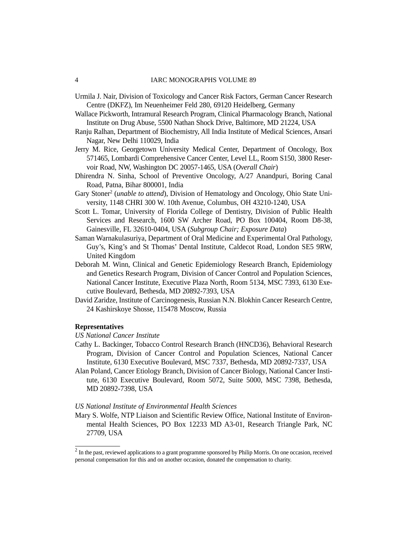#### 4 IARC MONOGRAPHS VOLUME 89

- Urmila J. Nair, Division of Toxicology and Cancer Risk Factors, German Cancer Research Centre (DKFZ), Im Neuenheimer Feld 280, 69120 Heidelberg, Germany
- Wallace Pickworth, Intramural Research Program, Clinical Pharmacology Branch, National Institute on Drug Abuse, 5500 Nathan Shock Drive, Baltimore, MD 21224, USA
- Ranju Ralhan, Department of Biochemistry, All India Institute of Medical Sciences, Ansari Nagar, New Delhi 110029, India
- Jerry M. Rice, Georgetown University Medical Center, Department of Oncology, Box 571465, Lombardi Comprehensive Cancer Center, Level LL, Room S150, 3800 Reservoir Road, NW, Washington DC 20057-1465, USA (*Overall Chair*)
- Dhirendra N. Sinha, School of Preventive Oncology, A/27 Anandpuri, Boring Canal Road, Patna, Bihar 800001, India
- Gary Stoner<sup>2</sup> (*unable to attend*), Division of Hematology and Oncology, Ohio State University, 1148 CHRI 300 W. 10th Avenue, Columbus, OH 43210-1240, USA
- Scott L. Tomar, University of Florida College of Dentistry, Division of Public Health Services and Research, 1600 SW Archer Road, PO Box 100404, Room D8-38, Gainesville, FL 32610-0404, USA (*Subgroup Chair; Exposure Data*)
- Saman Warnakulasuriya, Department of Oral Medicine and Experimental Oral Pathology, Guy's, King's and St Thomas' Dental Institute, Caldecot Road, London SE5 9RW, United Kingdom
- Deborah M. Winn, Clinical and Genetic Epidemiology Research Branch, Epidemiology and Genetics Research Program, Division of Cancer Control and Population Sciences, National Cancer Institute, Executive Plaza North, Room 5134, MSC 7393, 6130 Executive Boulevard, Bethesda, MD 20892-7393, USA
- David Zaridze, Institute of Carcinogenesis, Russian N.N. Blokhin Cancer Research Centre, 24 Kashirskoye Shosse, 115478 Moscow, Russia

#### **Representatives**

- *US National Cancer Institute*
- Cathy L. Backinger, Tobacco Control Research Branch (HNCD36), Behavioral Research Program, Division of Cancer Control and Population Sciences, National Cancer Institute, 6130 Executive Boulevard, MSC 7337, Bethesda, MD 20892-7337, USA
- Alan Poland, Cancer Etiology Branch, Division of Cancer Biology, National Cancer Institute, 6130 Executive Boulevard, Room 5072, Suite 5000, MSC 7398, Bethesda, MD 20892-7398, USA

#### *US National Institute of Environmental Health Sciences*

Mary S. Wolfe, NTP Liaison and Scientific Review Office, National Institute of Environmental Health Sciences, PO Box 12233 MD A3-01, Research Triangle Park, NC 27709, USA

 $2$  In the past, reviewed applications to a grant programme sponsored by Philip Morris. On one occasion, received personal compensation for this and on another occasion, donated the compensation to charity.